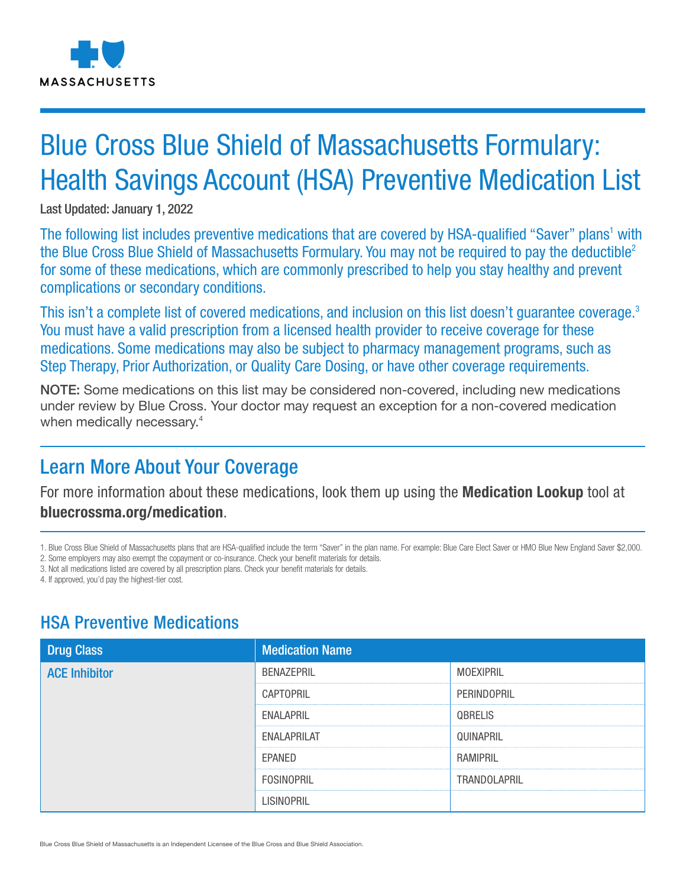

# Blue Cross Blue Shield of Massachusetts Formulary: Health Savings Account (HSA) Preventive Medication List

Last Updated: January 1, 2022

The following list includes preventive medications that are covered by HSA-qualified "Saver" plans<sup>1</sup> with the Blue Cross Blue Shield of Massachusetts Formulary. You may not be required to pay the deductible<sup>2</sup> for some of these medications, which are commonly prescribed to help you stay healthy and prevent complications or secondary conditions.

This isn't a complete list of covered medications, and inclusion on this list doesn't quarantee coverage.<sup>3</sup> You must have a valid prescription from a licensed health provider to receive coverage for these medications. Some medications may also be subject to pharmacy management programs, such as Step Therapy, Prior Authorization, or Quality Care Dosing, or have other coverage requirements.

NOTE: Some medications on this list may be considered non-covered, including new medications under review by Blue Cross. Your doctor may request an exception for a non-covered medication when medically necessary.<sup>4</sup>

## Learn More About Your Coverage

For more information about these medications, look them up using the **Medication Lookup** tool at bluecrossma.org/medication.

1. Blue Cross Blue Shield of Massachusetts plans that are HSA-qualified include the term "Saver" in the plan name. For example: Blue Care Elect Saver or HMO Blue New England Saver \$2,000. 2. Some employers may also exempt the copayment or co-insurance. Check your benefit materials for details.

3. Not all medications listed are covered by all prescription plans. Check your benefit materials for details.

4. If approved, you'd pay the highest-tier cost.

## HSA Preventive Medications

| <b>Drug Class</b>    | <b>Medication Name</b> |                |
|----------------------|------------------------|----------------|
| <b>ACE Inhibitor</b> | BENAZEPRIL             | MOEXIPRIL      |
|                      | CAPTOPRIL              | PERINDOPRIL    |
|                      | ENALAPRIL              | <b>QBRELIS</b> |
|                      | <b>ENALAPRILAT</b>     | QUINAPRIL      |
|                      | EPANED                 | RAMIPRIL       |
|                      | <b>FOSINOPRIL</b>      | TRANDOLAPRIL   |
|                      | LISINOPRIL             |                |

Blue Cross Blue Shield of Massachusetts is an Independent Licensee of the Blue Cross and Blue Shield Association.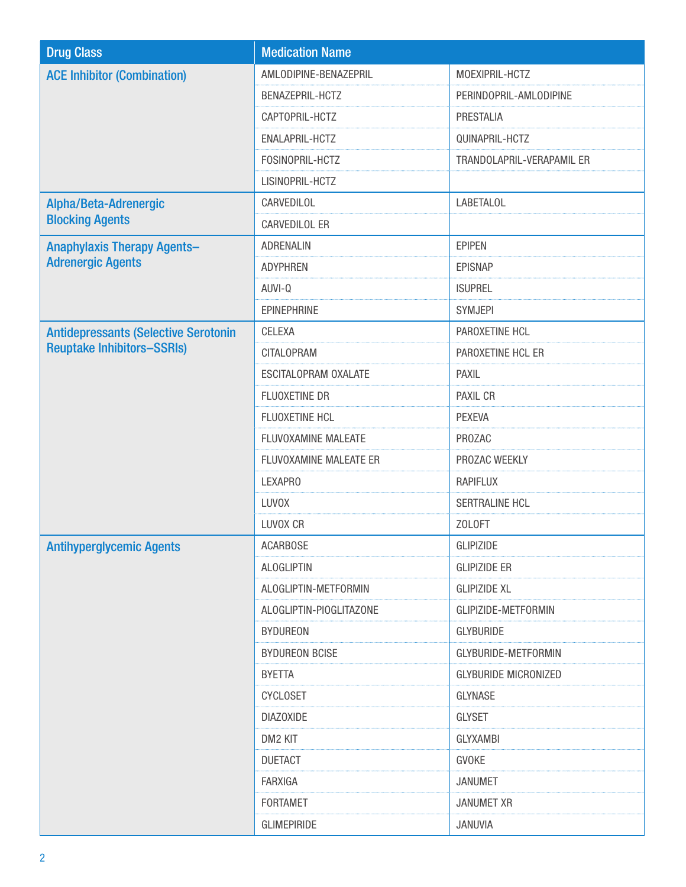| <b>Drug Class</b>                           | <b>Medication Name</b>  |                             |
|---------------------------------------------|-------------------------|-----------------------------|
| <b>ACE Inhibitor (Combination)</b>          | AMLODIPINE-BENAZEPRIL   | MOEXIPRIL-HCTZ              |
|                                             | BENAZEPRIL-HCTZ         | PERINDOPRIL-AMLODIPINE      |
|                                             | CAPTOPRIL-HCTZ          | PRESTALIA                   |
|                                             | ENALAPRIL-HCTZ          | QUINAPRIL-HCTZ              |
|                                             | FOSINOPRIL-HCTZ         | TRANDOLAPRIL-VERAPAMIL ER   |
|                                             | LISINOPRIL-HCTZ         |                             |
| Alpha/Beta-Adrenergic                       | CARVEDILOL              | <b>LABETALOL</b>            |
| <b>Blocking Agents</b>                      | CARVEDILOL ER           |                             |
| <b>Anaphylaxis Therapy Agents-</b>          | <b>ADRENALIN</b>        | <b>EPIPEN</b>               |
| <b>Adrenergic Agents</b>                    | <b>ADYPHREN</b>         | <b>EPISNAP</b>              |
|                                             | AUVI-Q                  | <b>ISUPREL</b>              |
|                                             | EPINEPHRINE             | SYMJEPI                     |
| <b>Antidepressants (Selective Serotonin</b> | CELEXA                  | PAROXETINE HCL              |
| <b>Reuptake Inhibitors-SSRIs)</b>           | <b>CITALOPRAM</b>       | PAROXETINE HCL ER           |
|                                             | ESCITALOPRAM OXALATE    | <b>PAXIL</b>                |
|                                             | FLUOXETINE DR           | PAXIL CR                    |
|                                             | FLUOXETINE HCL          | <b>PEXEVA</b>               |
|                                             | FLUVOXAMINE MALEATE     | PROZAC                      |
|                                             | FLUVOXAMINE MALEATE ER  | PROZAC WEEKLY               |
|                                             | <b>LEXAPRO</b>          | <b>RAPIFLUX</b>             |
|                                             | <b>LUVOX</b>            | SERTRALINE HCL              |
|                                             | LUVOX CR                | ZOLOFT                      |
| <b>Antihyperglycemic Agents</b>             | <b>ACARBOSE</b>         | <b>GLIPIZIDE</b>            |
|                                             | <b>ALOGLIPTIN</b>       | <b>GLIPIZIDE ER</b>         |
|                                             | ALOGLIPTIN-METFORMIN    | <b>GLIPIZIDE XL</b>         |
|                                             | ALOGLIPTIN-PIOGLITAZONE | GLIPIZIDE-METFORMIN         |
|                                             | <b>BYDUREON</b>         | GLYBURIDE                   |
|                                             | <b>BYDUREON BCISE</b>   | GLYBURIDE-METFORMIN         |
|                                             | <b>BYETTA</b>           | <b>GLYBURIDE MICRONIZED</b> |
|                                             | <b>CYCLOSET</b>         | <b>GLYNASE</b>              |
|                                             | <b>DIAZOXIDE</b>        | <b>GLYSET</b>               |
|                                             | DM2 KIT                 | GLYXAMBI                    |
|                                             | <b>DUETACT</b>          | <b>GVOKE</b>                |
|                                             | FARXIGA                 | <b>JANUMET</b>              |
|                                             | FORTAMET                | <b>JANUMET XR</b>           |
|                                             | <b>GLIMEPIRIDE</b>      | JANUVIA                     |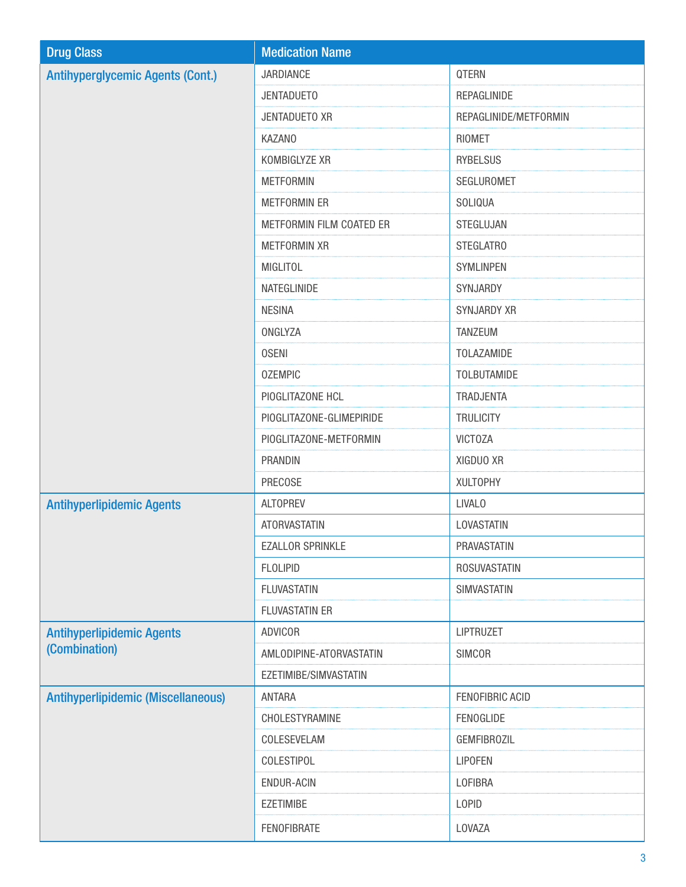| <b>Drug Class</b>                         | <b>Medication Name</b>   |                       |
|-------------------------------------------|--------------------------|-----------------------|
| <b>Antihyperglycemic Agents (Cont.)</b>   | JARDIANCE                | QTERN                 |
|                                           | <b>JENTADUETO</b>        | REPAGLINIDE           |
|                                           | JENTADUETO XR            | REPAGLINIDE/METFORMIN |
|                                           | <b>KAZANO</b>            | <b>RIOMET</b>         |
|                                           | KOMBIGLYZE XR            | <b>RYBELSUS</b>       |
|                                           | <b>METFORMIN</b>         | SEGLUROMET            |
|                                           | <b>METFORMIN ER</b>      | SOLIQUA               |
|                                           | METFORMIN FILM COATED ER | STEGLUJAN             |
|                                           | <b>METFORMIN XR</b>      | STEGLATRO             |
|                                           | <b>MIGLITOL</b>          | <b>SYMLINPEN</b>      |
|                                           | NATEGLINIDE              | SYNJARDY              |
|                                           | <b>NESINA</b>            | <b>SYNJARDY XR</b>    |
|                                           | ONGLYZA                  | <b>TANZEUM</b>        |
|                                           | <b>OSENI</b>             | TOLAZAMIDE            |
|                                           | <b>OZEMPIC</b>           | <b>TOLBUTAMIDE</b>    |
|                                           | PIOGLITAZONE HCL         | TRADJENTA             |
|                                           | PIOGLITAZONE-GLIMEPIRIDE | <b>TRULICITY</b>      |
|                                           | PIOGLITAZONE-METFORMIN   | <b>VICTOZA</b>        |
|                                           | PRANDIN                  | XIGDUO XR             |
|                                           | PRECOSE                  | <b>XULTOPHY</b>       |
| <b>Antihyperlipidemic Agents</b>          | <b>ALTOPREV</b>          | <b>LIVALO</b>         |
|                                           | <b>ATORVASTATIN</b>      | LOVASTATIN            |
|                                           | <b>EZALLOR SPRINKLE</b>  | PRAVASTATIN           |
|                                           | <b>FLOLIPID</b>          | ROSUVASTATIN          |
|                                           | <b>FLUVASTATIN</b>       | SIMVASTATIN           |
|                                           | <b>FLUVASTATIN ER</b>    |                       |
| <b>Antihyperlipidemic Agents</b>          | <b>ADVICOR</b>           | LIPTRUZET             |
| (Combination)                             | AMLODIPINE-ATORVASTATIN  | <b>SIMCOR</b>         |
|                                           | EZETIMIBE/SIMVASTATIN    |                       |
| <b>Antihyperlipidemic (Miscellaneous)</b> | <b>ANTARA</b>            | FENOFIBRIC ACID       |
|                                           | CHOLESTYRAMINE           | FENOGLIDE             |
|                                           | COLESEVELAM              | <b>GEMFIBROZIL</b>    |
|                                           | COLESTIPOL               | <b>LIPOFEN</b>        |
|                                           | <b>ENDUR-ACIN</b>        | <b>LOFIBRA</b>        |
|                                           | <b>EZETIMIBE</b>         | <b>LOPID</b>          |
|                                           | <b>FENOFIBRATE</b>       | LOVAZA                |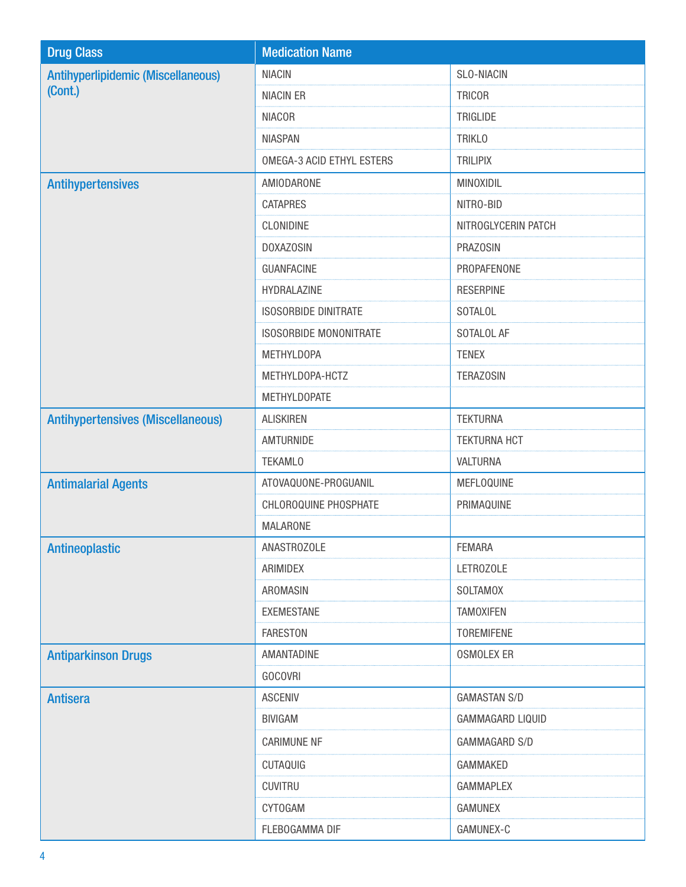| <b>Drug Class</b>                                    | <b>Medication Name</b>        |                      |
|------------------------------------------------------|-------------------------------|----------------------|
| <b>Antihyperlipidemic (Miscellaneous)</b><br>(Cont.) | <b>NIACIN</b>                 | SLO-NIACIN           |
|                                                      | <b>NIACIN ER</b>              | <b>TRICOR</b>        |
|                                                      | <b>NIACOR</b>                 | TRIGLIDE             |
|                                                      | <b>NIASPAN</b>                | <b>TRIKLO</b>        |
|                                                      | OMEGA-3 ACID ETHYL ESTERS     | <b>TRILIPIX</b>      |
| <b>Antihypertensives</b>                             | AMIODARONE                    | MINOXIDIL            |
|                                                      | <b>CATAPRES</b>               | NITRO-BID            |
|                                                      | CLONIDINE                     | NITROGLYCERIN PATCH  |
|                                                      | <b>DOXAZOSIN</b>              | <b>PRAZOSIN</b>      |
|                                                      | <b>GUANFACINE</b>             | PROPAFENONE          |
|                                                      | HYDRALAZINE                   | <b>RESERPINE</b>     |
|                                                      | <b>ISOSORBIDE DINITRATE</b>   | <b>SOTALOL</b>       |
|                                                      | <b>ISOSORBIDE MONONITRATE</b> | SOTALOL AF           |
|                                                      | <b>METHYLDOPA</b>             | <b>TENEX</b>         |
|                                                      | METHYLDOPA-HCTZ               | <b>TERAZOSIN</b>     |
|                                                      | <b>METHYLDOPATE</b>           |                      |
| <b>Antihypertensives (Miscellaneous)</b>             | <b>ALISKIREN</b>              | <b>TEKTURNA</b>      |
|                                                      | AMTURNIDE                     | <b>TEKTURNA HCT</b>  |
|                                                      | <b>TEKAMLO</b>                | VALTURNA             |
| <b>Antimalarial Agents</b>                           | ATOVAQUONE-PROGUANIL          | MEFLOQUINE           |
|                                                      | CHLOROQUINE PHOSPHATE         | PRIMAQUINE           |
|                                                      | <b>MALARONE</b>               |                      |
| <b>Antineoplastic</b>                                | ANASTROZOLE                   | <b>FEMARA</b>        |
|                                                      | ARIMIDEX                      | LETROZOLE            |
|                                                      | AROMASIN                      | <b>SOLTAMOX</b>      |
|                                                      | <b>EXEMESTANE</b>             | <b>TAMOXIFEN</b>     |
|                                                      | <b>FARESTON</b>               | <b>TOREMIFENE</b>    |
| <b>Antiparkinson Drugs</b>                           | AMANTADINE                    | <b>OSMOLEX ER</b>    |
|                                                      | <b>GOCOVRI</b>                |                      |
| <b>Antisera</b>                                      | <b>ASCENIV</b>                | <b>GAMASTAN S/D</b>  |
|                                                      | <b>BIVIGAM</b>                | GAMMAGARD LIQUID     |
|                                                      | <b>CARIMUNE NF</b>            | <b>GAMMAGARD S/D</b> |
|                                                      | CUTAQUIG                      | GAMMAKED             |
|                                                      | <b>CUVITRU</b>                | <b>GAMMAPLEX</b>     |
|                                                      | <b>CYTOGAM</b>                | <b>GAMUNEX</b>       |
|                                                      | FLEBOGAMMA DIF                | GAMUNEX-C            |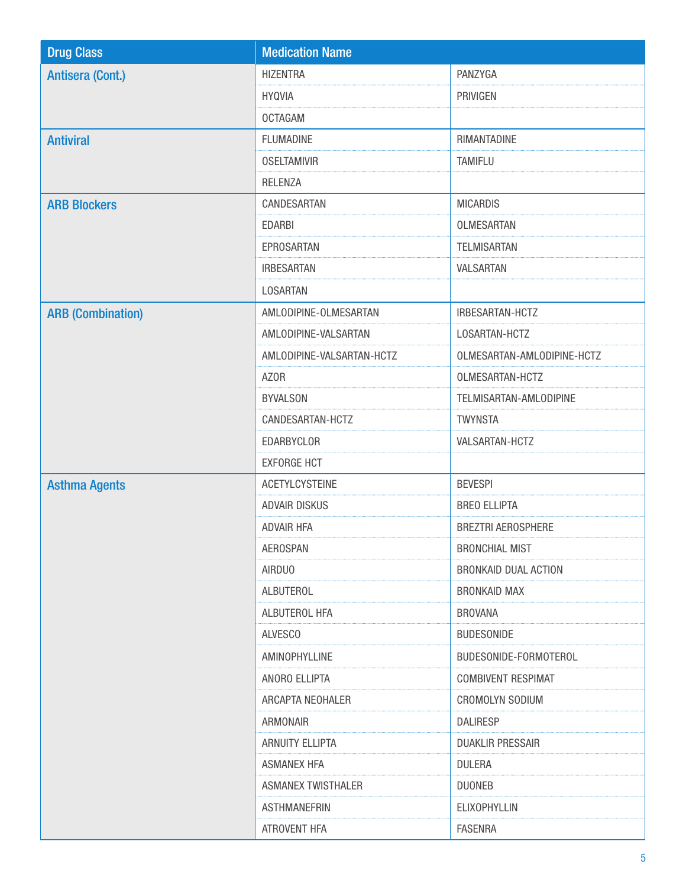| <b>Drug Class</b>        | <b>Medication Name</b>    |                            |
|--------------------------|---------------------------|----------------------------|
| <b>Antisera (Cont.)</b>  | <b>HIZENTRA</b>           | PANZYGA                    |
|                          | <b>HYQVIA</b>             | PRIVIGEN                   |
|                          | <b>OCTAGAM</b>            |                            |
| <b>Antiviral</b>         | <b>FLUMADINE</b>          | RIMANTADINE                |
|                          | <b>OSELTAMIVIR</b>        | <b>TAMIFLU</b>             |
|                          | <b>RELENZA</b>            |                            |
| <b>ARB Blockers</b>      | CANDESARTAN               | <b>MICARDIS</b>            |
|                          | <b>EDARBI</b>             | <b>OLMESARTAN</b>          |
|                          | EPROSARTAN                | <b>TELMISARTAN</b>         |
|                          | <b>IRBESARTAN</b>         | VALSARTAN                  |
|                          | LOSARTAN                  |                            |
| <b>ARB (Combination)</b> | AMLODIPINE-OLMESARTAN     | IRBESARTAN-HCTZ            |
|                          | AMLODIPINE-VALSARTAN      | LOSARTAN-HCTZ              |
|                          | AMLODIPINE-VALSARTAN-HCTZ | OLMESARTAN-AMLODIPINE-HCTZ |
|                          | <b>AZOR</b>               | OLMESARTAN-HCTZ            |
|                          | <b>BYVALSON</b>           | TELMISARTAN-AMLODIPINE     |
|                          | CANDESARTAN-HCTZ          | <b>TWYNSTA</b>             |
|                          | EDARBYCLOR                | VALSARTAN-HCTZ             |
|                          | <b>EXFORGE HCT</b>        |                            |
| <b>Asthma Agents</b>     | <b>ACETYLCYSTEINE</b>     | <b>BEVESPI</b>             |
|                          | ADVAIR DISKUS             | <b>BREO ELLIPTA</b>        |
|                          | <b>ADVAIR HFA</b>         | <b>BREZTRI AEROSPHERE</b>  |
|                          | AEROSPAN                  | <b>BRONCHIAL MIST</b>      |
|                          | AIRDUO                    | BRONKAID DUAL ACTION       |
|                          | ALBUTEROL                 | <b>BRONKAID MAX</b>        |
|                          | ALBUTEROL HFA             | <b>BROVANA</b>             |
|                          | <b>ALVESCO</b>            | <b>BUDESONIDE</b>          |
|                          | AMINOPHYLLINE             | BUDESONIDE-FORMOTEROL      |
|                          | ANORO ELLIPTA             | <b>COMBIVENT RESPIMAT</b>  |
|                          | ARCAPTA NEOHALER          | <b>CROMOLYN SODIUM</b>     |
|                          | ARMONAIR                  | <b>DALIRESP</b>            |
|                          | <b>ARNUITY ELLIPTA</b>    | <b>DUAKLIR PRESSAIR</b>    |
|                          | <b>ASMANEX HFA</b>        | <b>DULERA</b>              |
|                          | <b>ASMANEX TWISTHALER</b> | <b>DUONEB</b>              |
|                          | <b>ASTHMANEFRIN</b>       | ELIXOPHYLLIN               |
|                          | ATROVENT HFA              | <b>FASENRA</b>             |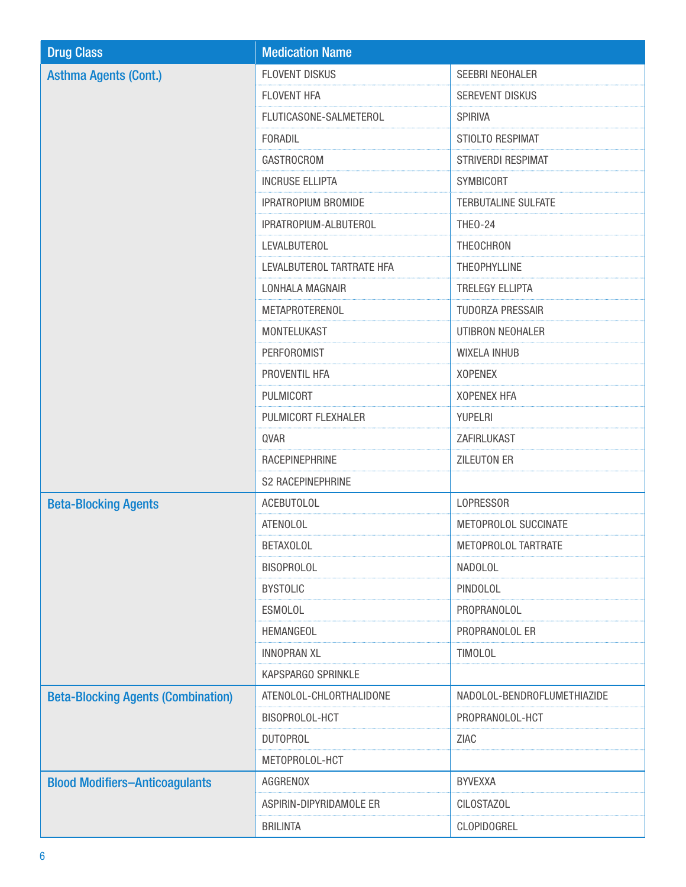| <b>Drug Class</b>                         | <b>Medication Name</b>     |                             |
|-------------------------------------------|----------------------------|-----------------------------|
| <b>Asthma Agents (Cont.)</b>              | <b>FLOVENT DISKUS</b>      | SEEBRI NEOHALER             |
|                                           | FLOVENT HFA                | SEREVENT DISKUS             |
|                                           | FLUTICASONE-SALMETEROL     | <b>SPIRIVA</b>              |
|                                           | FORADIL                    | STIOLTO RESPIMAT            |
|                                           | <b>GASTROCROM</b>          | <b>STRIVERDI RESPIMAT</b>   |
|                                           | <b>INCRUSE ELLIPTA</b>     | SYMBICORT                   |
|                                           | <b>IPRATROPIUM BROMIDE</b> | <b>TERBUTALINE SULFATE</b>  |
|                                           | IPRATROPIUM-ALBUTEROL      | <b>THEO-24</b>              |
|                                           | LEVALBUTEROL               | THEOCHRON                   |
|                                           | LEVALBUTEROL TARTRATE HFA  | THEOPHYLLINE                |
|                                           | LONHALA MAGNAIR            | <b>TRELEGY ELLIPTA</b>      |
|                                           | <b>METAPROTERENOL</b>      | <b>TUDORZA PRESSAIR</b>     |
|                                           | MONTELUKAST                | UTIBRON NEOHALER            |
|                                           | <b>PERFOROMIST</b>         | <b>WIXELA INHUB</b>         |
|                                           | PROVENTIL HFA              | <b>XOPENEX</b>              |
|                                           | PULMICORT                  | <b>XOPENEX HFA</b>          |
|                                           | PULMICORT FLEXHALER        | YUPELRI                     |
|                                           | QVAR                       | ZAFIRLUKAST                 |
|                                           | RACEPINEPHRINE             | ZILEUTON ER                 |
|                                           | S2 RACEPINEPHRINE          |                             |
| <b>Beta-Blocking Agents</b>               | <b>ACEBUTOLOL</b>          | <b>LOPRESSOR</b>            |
|                                           | <b>ATENOLOL</b>            | METOPROLOL SUCCINATE        |
|                                           | <b>BETAXOLOL</b>           | METOPROLOL TARTRATE         |
|                                           | <b>BISOPROLOL</b>          | NADOLOL                     |
|                                           | <b>BYSTOLIC</b>            | PINDOLOL                    |
|                                           | <b>ESMOLOL</b>             | PROPRANOLOL                 |
|                                           | HEMANGEOL                  | PROPRANOLOL ER              |
|                                           | <b>INNOPRAN XL</b>         | <b>TIMOLOL</b>              |
|                                           | KAPSPARGO SPRINKLE         |                             |
| <b>Beta-Blocking Agents (Combination)</b> | ATENOLOL-CHLORTHALIDONE    | NADOLOL-BENDROFLUMETHIAZIDE |
|                                           | BISOPROLOL-HCT             | PROPRANOLOL-HCT             |
|                                           | <b>DUTOPROL</b>            | ZIAC                        |
|                                           | METOPROLOL-HCT             |                             |
| <b>Blood Modifiers-Anticoagulants</b>     | AGGRENOX                   | <b>BYVEXXA</b>              |
|                                           | ASPIRIN-DIPYRIDAMOLE ER    | <b>CILOSTAZOL</b>           |
|                                           | <b>BRILINTA</b>            | CLOPIDOGREL                 |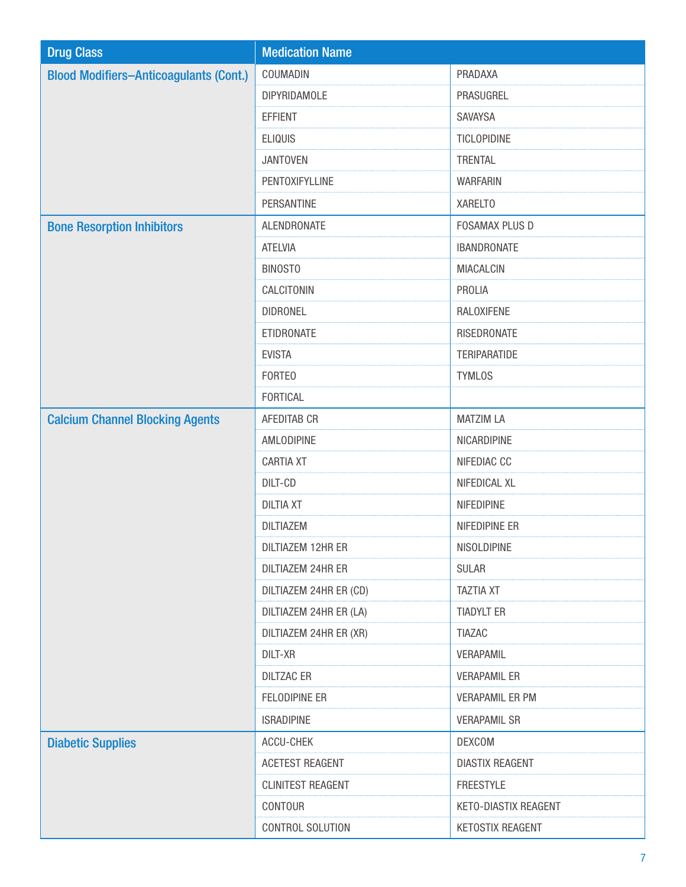| <b>Drug Class</b>                             | <b>Medication Name</b>   |                        |
|-----------------------------------------------|--------------------------|------------------------|
| <b>Blood Modifiers-Anticoagulants (Cont.)</b> | COUMADIN                 | PRADAXA                |
|                                               | <b>DIPYRIDAMOLE</b>      | PRASUGREL              |
|                                               | <b>EFFIENT</b>           | SAVAYSA                |
|                                               | <b>ELIQUIS</b>           | TICLOPIDINE            |
|                                               | <b>JANTOVEN</b>          | <b>TRENTAL</b>         |
|                                               | PENTOXIFYLLINE           | <b>WARFARIN</b>        |
|                                               | PERSANTINE               | XARELTO                |
| <b>Bone Resorption Inhibitors</b>             | ALENDRONATE              | <b>FOSAMAX PLUS D</b>  |
|                                               | <b>ATELVIA</b>           | <b>IBANDRONATE</b>     |
|                                               | <b>BINOSTO</b>           | <b>MIACALCIN</b>       |
|                                               | CALCITONIN               | PROLIA                 |
|                                               | <b>DIDRONEL</b>          | RALOXIFENE             |
|                                               | ETIDRONATE               | RISEDRONATE            |
|                                               | <b>EVISTA</b>            | <b>TERIPARATIDE</b>    |
|                                               | <b>FORTEO</b>            | <b>TYMLOS</b>          |
|                                               | <b>FORTICAL</b>          |                        |
| <b>Calcium Channel Blocking Agents</b>        | AFEDITAB CR              | <b>MATZIM LA</b>       |
|                                               | AMLODIPINE               | NICARDIPINE            |
|                                               | <b>CARTIA XT</b>         | NIFEDIAC CC            |
|                                               | DILT-CD                  | NIFEDICAL XL           |
|                                               | <b>DILTIA XT</b>         | NIFEDIPINE             |
|                                               | <b>DILTIAZEM</b>         | NIFEDIPINE ER          |
|                                               | DILTIAZEM 12HR ER        | <b>NISOLDIPINE</b>     |
|                                               | DILTIAZEM 24HR ER        | <b>SULAR</b>           |
|                                               | DILTIAZEM 24HR ER (CD)   | <b>TAZTIA XT</b>       |
|                                               | DILTIAZEM 24HR ER (LA)   | <b>TIADYLT ER</b>      |
|                                               | DILTIAZEM 24HR ER (XR)   | <b>TIAZAC</b>          |
|                                               | DILT-XR                  | VERAPAMIL              |
|                                               | <b>DILTZAC ER</b>        | <b>VERAPAMIL ER</b>    |
|                                               | FELODIPINE ER            | <b>VERAPAMIL ER PM</b> |
|                                               | <b>ISRADIPINE</b>        | <b>VERAPAMIL SR</b>    |
| <b>Diabetic Supplies</b>                      | ACCU-CHEK                | <b>DEXCOM</b>          |
|                                               | ACETEST REAGENT          | <b>DIASTIX REAGENT</b> |
|                                               | <b>CLINITEST REAGENT</b> | <b>FREESTYLE</b>       |
|                                               | CONTOUR                  | KETO-DIASTIX REAGENT   |
|                                               | CONTROL SOLUTION         | KETOSTIX REAGENT       |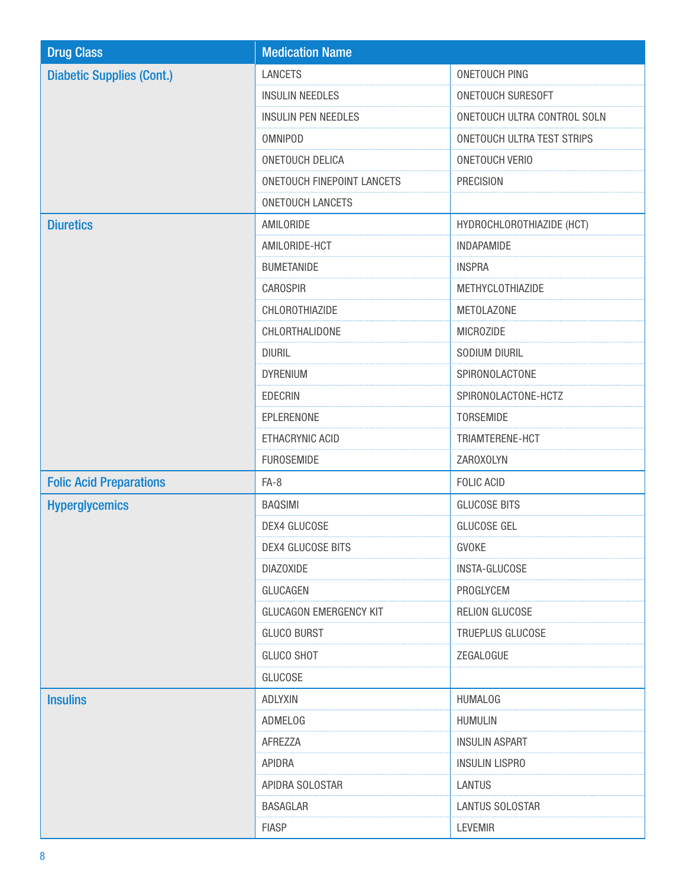| <b>Drug Class</b>                | <b>Medication Name</b>            |                             |
|----------------------------------|-----------------------------------|-----------------------------|
| <b>Diabetic Supplies (Cont.)</b> | <b>LANCETS</b>                    | <b>ONETOUCH PING</b>        |
|                                  | <b>INSULIN NEEDLES</b>            | <b>ONETOUCH SURESOFT</b>    |
|                                  | <b>INSULIN PEN NEEDLES</b>        | ONETOUCH ULTRA CONTROL SOLN |
|                                  | <b>OMNIPOD</b>                    | ONETOUCH ULTRA TEST STRIPS  |
|                                  | <b>ONETOUCH DELICA</b>            | ONETOUCH VERIO              |
|                                  | <b>ONETOUCH FINEPOINT LANCETS</b> | <b>PRECISION</b>            |
|                                  | <b>ONETOUCH LANCETS</b>           |                             |
| <b>Diuretics</b>                 | AMILORIDE                         | HYDROCHLOROTHIAZIDE (HCT)   |
|                                  | AMILORIDE-HCT                     | INDAPAMIDE                  |
|                                  | <b>BUMETANIDE</b>                 | <b>INSPRA</b>               |
|                                  | <b>CAROSPIR</b>                   | METHYCLOTHIAZIDE            |
|                                  | CHLOROTHIAZIDE                    | <b>METOLAZONE</b>           |
|                                  | CHLORTHALIDONE                    | <b>MICROZIDE</b>            |
|                                  | <b>DIURIL</b>                     | SODIUM DIURIL               |
|                                  | <b>DYRENIUM</b>                   | SPIRONOLACTONE              |
|                                  | <b>EDECRIN</b>                    | SPIRONOLACTONE-HCTZ         |
|                                  | EPLERENONE                        | TORSEMIDE                   |
|                                  | ETHACRYNIC ACID                   | TRIAMTERENE-HCT             |
|                                  | <b>FUROSEMIDE</b>                 | ZAROXOLYN                   |
| <b>Folic Acid Preparations</b>   | $FA-8$                            | <b>FOLIC ACID</b>           |
| <b>Hyperglycemics</b>            | <b>BAQSIMI</b>                    | <b>GLUCOSE BITS</b>         |
|                                  | DEX4 GLUCOSE                      | <b>GLUCOSE GEL</b>          |
|                                  | <b>DEX4 GLUCOSE BITS</b>          | <b>GVOKE</b>                |
|                                  | <b>DIAZOXIDE</b>                  | INSTA-GLUCOSE               |
|                                  | <b>GLUCAGEN</b>                   | PROGLYCEM                   |
|                                  | <b>GLUCAGON EMERGENCY KIT</b>     | RELION GLUCOSE              |
|                                  | <b>GLUCO BURST</b>                | TRUEPLUS GLUCOSE            |
|                                  | <b>GLUCO SHOT</b>                 | ZEGALOGUE                   |
|                                  | <b>GLUCOSE</b>                    |                             |
| <b>Insulins</b>                  | ADLYXIN                           | <b>HUMALOG</b>              |
|                                  | ADMELOG                           | <b>HUMULIN</b>              |
|                                  | AFREZZA                           | <b>INSULIN ASPART</b>       |
|                                  | APIDRA                            | <b>INSULIN LISPRO</b>       |
|                                  | APIDRA SOLOSTAR                   | <b>LANTUS</b>               |
|                                  | <b>BASAGLAR</b>                   | LANTUS SOLOSTAR             |
|                                  | <b>FIASP</b>                      | LEVEMIR                     |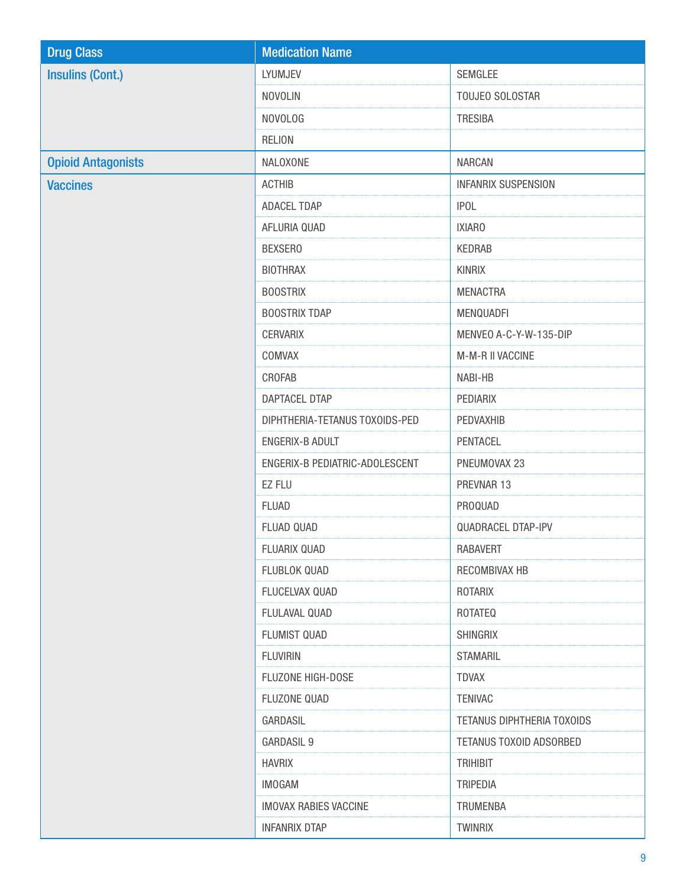| <b>Drug Class</b>         | <b>Medication Name</b>         |                            |
|---------------------------|--------------------------------|----------------------------|
| <b>Insulins (Cont.)</b>   | LYUMJEV                        | SEMGLEE                    |
|                           | <b>NOVOLIN</b>                 | TOUJEO SOLOSTAR            |
|                           | <b>NOVOLOG</b>                 | <b>TRESIBA</b>             |
|                           | <b>RELION</b>                  |                            |
| <b>Opioid Antagonists</b> | NALOXONE                       | <b>NARCAN</b>              |
| <b>Vaccines</b>           | <b>ACTHIB</b>                  | <b>INFANRIX SUSPENSION</b> |
|                           | ADACEL TDAP                    | <b>IPOL</b>                |
|                           | AFLURIA QUAD                   | <b>IXIARO</b>              |
|                           | <b>BEXSERO</b>                 | <b>KEDRAB</b>              |
|                           | <b>BIOTHRAX</b>                | <b>KINRIX</b>              |
|                           | <b>BOOSTRIX</b>                | <b>MENACTRA</b>            |
|                           | <b>BOOSTRIX TDAP</b>           | MENQUADFI                  |
|                           | <b>CERVARIX</b>                | MENVEO A-C-Y-W-135-DIP     |
|                           | COMVAX                         | M-M-R II VACCINE           |
|                           | CROFAB                         | NABI-HB                    |
|                           | DAPTACEL DTAP                  | PEDIARIX                   |
|                           | DIPHTHERIA-TETANUS TOXOIDS-PED | PEDVAXHIB                  |
|                           | <b>ENGERIX-B ADULT</b>         | PENTACEL                   |
|                           | ENGERIX-B PEDIATRIC-ADOLESCENT | PNEUMOVAX 23               |
|                           | EZ FLU                         | PREVNAR 13                 |
|                           | <b>FLUAD</b>                   | PROQUAD                    |
|                           | <b>FLUAD QUAD</b>              | <b>QUADRACEL DTAP-IPV</b>  |
|                           | FLUARIX QUAD                   | <b>RABAVERT</b>            |
|                           | FLUBLOK QUAD                   | RECOMBIVAX HB              |
|                           | FLUCELVAX QUAD                 | ROTARIX                    |
|                           | FLULAVAL QUAD                  | <b>ROTATEQ</b>             |
|                           | <b>FLUMIST QUAD</b>            | <b>SHINGRIX</b>            |
|                           | <b>FLUVIRIN</b>                | <b>STAMARIL</b>            |
|                           | FLUZONE HIGH-DOSE              | <b>TDVAX</b>               |
|                           | FLUZONE QUAD                   | <b>TENIVAC</b>             |
|                           | <b>GARDASIL</b>                | TETANUS DIPHTHERIA TOXOIDS |
|                           | GARDASIL 9                     | TETANUS TOXOID ADSORBED    |
|                           | <b>HAVRIX</b>                  | <b>TRIHIBIT</b>            |
|                           | <b>IMOGAM</b>                  | <b>TRIPEDIA</b>            |
|                           | <b>IMOVAX RABIES VACCINE</b>   | <b>TRUMENBA</b>            |
|                           | <b>INFANRIX DTAP</b>           | <b>TWINRIX</b>             |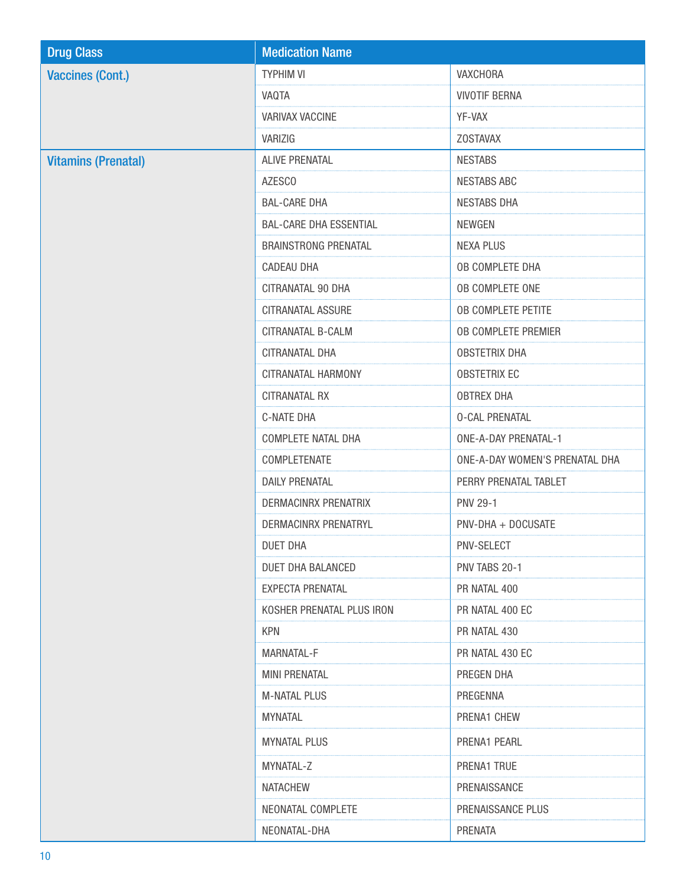| <b>Drug Class</b>          | <b>Medication Name</b>        |                                |
|----------------------------|-------------------------------|--------------------------------|
| <b>Vaccines (Cont.)</b>    | <b>TYPHIM VI</b>              | VAXCHORA                       |
|                            | VAQTA                         | <b>VIVOTIF BERNA</b>           |
|                            | <b>VARIVAX VACCINE</b>        | YF-VAX                         |
|                            | VARIZIG                       | <b>ZOSTAVAX</b>                |
| <b>Vitamins (Prenatal)</b> | <b>ALIVE PRENATAL</b>         | <b>NESTABS</b>                 |
|                            | AZESCO                        | <b>NESTABS ABC</b>             |
|                            | <b>BAL-CARE DHA</b>           | <b>NESTABS DHA</b>             |
|                            | <b>BAL-CARE DHA ESSENTIAL</b> | NEWGEN                         |
|                            | <b>BRAINSTRONG PRENATAL</b>   | <b>NEXA PLUS</b>               |
|                            | CADEAU DHA                    | OB COMPLETE DHA                |
|                            | CITRANATAL 90 DHA             | OB COMPLETE ONE                |
|                            | CITRANATAL ASSURE             | <b>OB COMPLETE PETITE</b>      |
|                            | CITRANATAL B-CALM             | OB COMPLETE PREMIER            |
|                            | CITRANATAL DHA                | <b>OBSTETRIX DHA</b>           |
|                            | CITRANATAL HARMONY            | <b>OBSTETRIX EC</b>            |
|                            | CITRANATAL RX                 | <b>OBTREX DHA</b>              |
|                            | C-NATE DHA                    | <b>0-CAL PRENATAL</b>          |
|                            | COMPLETE NATAL DHA            | <b>ONE-A-DAY PRENATAL-1</b>    |
|                            | COMPLETENATE                  | ONE-A-DAY WOMEN'S PRENATAL DHA |
|                            | <b>DAILY PRENATAL</b>         | PERRY PRENATAL TABLET          |
|                            | <b>DERMACINRX PRENATRIX</b>   | <b>PNV 29-1</b>                |
|                            | <b>DERMACINRX PRENATRYL</b>   | PNV-DHA + DOCUSATE             |
|                            | <b>DUET DHA</b>               | PNV-SELECT                     |
|                            | DUET DHA BALANCED             | PNV TABS 20-1                  |
|                            | EXPECTA PRENATAL              | PR NATAL 400                   |
|                            | KOSHER PRENATAL PLUS IRON     | PR NATAL 400 EC                |
|                            | <b>KPN</b>                    | PR NATAL 430                   |
|                            | MARNATAL-F                    | PR NATAL 430 EC                |
|                            | <b>MINI PRENATAL</b>          | PREGEN DHA                     |
|                            | <b>M-NATAL PLUS</b>           | PREGENNA                       |
|                            | <b>MYNATAL</b>                | PRENA1 CHEW                    |
|                            | <b>MYNATAL PLUS</b>           | PRENA1 PEARL                   |
|                            | MYNATAL-Z                     | PRENA1 TRUE                    |
|                            | <b>NATACHEW</b>               | PRENAISSANCE                   |
|                            | NEONATAL COMPLETE             | PRENAISSANCE PLUS              |
|                            | NEONATAL-DHA                  | PRENATA                        |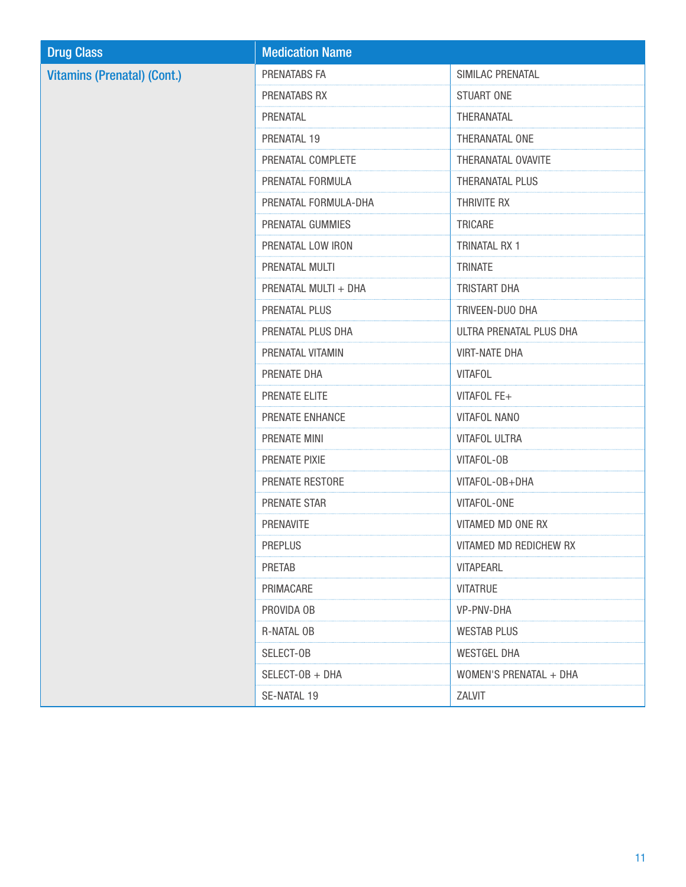| <b>Drug Class</b>                  | <b>Medication Name</b> |                         |
|------------------------------------|------------------------|-------------------------|
| <b>Vitamins (Prenatal) (Cont.)</b> | PRENATABS FA           | SIMILAC PRENATAL        |
|                                    | PRENATABS RX           | STUART ONE              |
|                                    | PRENATAL               | THERANATAL              |
|                                    | PRENATAL 19            | THERANATAL ONE          |
|                                    | PRENATAL COMPLETE      | THERANATAL OVAVITE      |
|                                    | PRENATAL FORMULA       | THERANATAL PLUS         |
|                                    | PRENATAL FORMULA-DHA   | THRIVITE RX             |
|                                    | PRENATAL GUMMIES       | TRICARE                 |
|                                    | PRENATAL LOW IRON      | <b>TRINATAL RX 1</b>    |
|                                    | PRENATAL MULTI         | <b>TRINATE</b>          |
|                                    | PRENATAL MULTI + DHA   | TRISTART DHA            |
|                                    | PRENATAL PLUS          | TRIVEEN-DUO DHA         |
|                                    | PRENATAL PLUS DHA      | ULTRA PRENATAL PLUS DHA |
|                                    | PRENATAL VITAMIN       | <b>VIRT-NATE DHA</b>    |
|                                    | PRENATE DHA            | <b>VITAFOL</b>          |
|                                    | PRENATE ELITE          | VITAFOL FE+             |
|                                    | PRENATE ENHANCE        | <b>VITAFOL NANO</b>     |
|                                    | PRENATE MINI           | <b>VITAFOL ULTRA</b>    |
|                                    | PRENATE PIXIE          | VITAFOL-OB              |
|                                    | PRENATE RESTORE        | VITAFOL-OB+DHA          |
|                                    | PRENATE STAR           | VITAFOL-ONE             |
|                                    | <b>PRENAVITE</b>       | VITAMED MD ONE RX       |
|                                    | <b>PREPLUS</b>         | VITAMED MD REDICHEW RX  |
|                                    | <b>PRETAB</b>          | <b>VITAPEARL</b>        |
|                                    | PRIMACARE              | <b>VITATRUE</b>         |
|                                    | PROVIDA OB             | VP-PNV-DHA              |
|                                    | R-NATAL OB             | <b>WESTAB PLUS</b>      |
|                                    | SELECT-OB              | <b>WESTGEL DHA</b>      |
|                                    | SELECT-OB + DHA        | WOMEN'S PRENATAL + DHA  |
|                                    | SE-NATAL 19            | ZALVIT                  |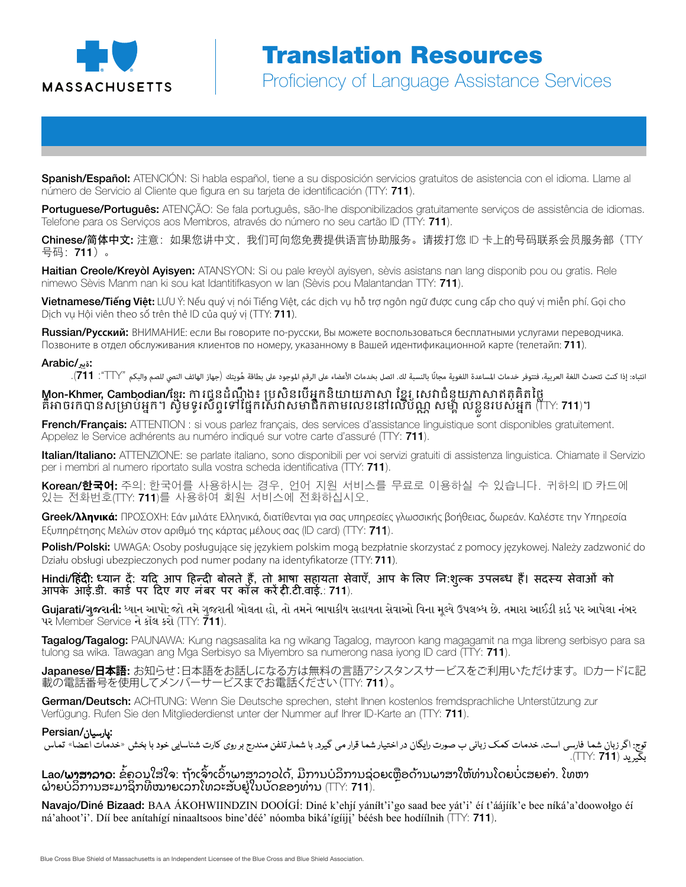

Spanish/Español: ATENCIÓN: Si habla español, tiene a su disposición servicios gratuitos de asistencia con el idioma. Llame al número de Servicio al Cliente que figura en su tarjeta de identificación (TTY: 711).

Portuguese/Português: ATENÇÃO: Se fala português, são-lhe disponibilizados gratuitamente serviços de assistência de idiomas. Telefone para os Serviços aos Membros, através do número no seu cartão ID (TTY: 711).

Chinese/简体中文: 注意:如果您讲中文,我们可向您免费提供语言协助服务。请拨打您 ID 卡上的号码联系会员服务部(TTY 号码:711)。

Haitian Creole/Kreyòl Ayisyen: ATANSYON: Si ou pale kreyòl ayisyen, sèvis asistans nan lang disponib pou ou gratis. Rele nimewo Sèvis Manm nan ki sou kat Idantitifkasyon w lan (Sèvis pou Malantandan TTY: 711).

Vietnamese/**Tiếng Việt:** LƯU Ý: Nếu quý vị nói Tiếng Việt, các dịch vụ hỗ trợ ngôn ngữ được cung cấp cho quý vị miễn phí. Gọi cho Dịch vụ Hội viên theo số trên thẻ ID của quý vị (TTY: **711**).

Russian/**Русский**: ВНИМАНИЕ: если Вы говорите по-русски, Вы можете воспользоваться бесплатными услугами переводчика. Позвоните в отдел обслуживания клиентов по номеру, указанному в Вашей идентификационной карте (телетайп: **711**).

#### :**ةيرب**/Arabic

انتباه: إذا كنت تتحدث اللغة العربية، فتتوفر خدمات المساعدة اللغوية مجانًا بالنسبة لك. اتصل بخدمات الأعضاء على الهوجود على بطاقة هُويتك (جهاز الهاتف النصي للصم والبكم "TTY": **111)**.

### Mon-Khmer, Cambodian/ខ្មែរ: ការជូនដំណឹង៖ ប្រសិនបើអ្នកនិយាយភាសា ខ្មែរ សេវាជំនួយភាសាឥតគិតថ្លៃ គឺអាចរកបានសម្រាប់អ្នក។ ស្វិមទូរស័ព្ទទៅផ្នែកសេវាសមាជិកតាមលេខនៅលើប័ណ្ណ សម្ព័ ល់ខ្លូនរបស់អ្នក (TTY: **711**)។

French/Français: ATTENTION : si vous parlez français, des services d'assistance linguistique sont disponibles gratuitement. Appelez le Service adhérents au numéro indiqué sur votre carte d'assuré (TTY: 711).

Italian/Italiano: ATTENZIONE: se parlate italiano, sono disponibili per voi servizi gratuiti di assistenza linguistica. Chiamate il Servizio per i membri al numero riportato sulla vostra scheda identificativa (TTY: 711).

Korean/**한국어**: 주의: 한국어를 사용하시는 경우, 언어 지원 서비스를 무료로 이용하실 수 있습니다. 귀하의 ID 카드에 있는 전화번호(TTY: 711)를 사용하여 회원 서비스에 전화하십시오.

Greek/**λληνικά**: ΠΡΟΣΟΧΗ: Εάν μιλάτε Ελληνικά, διατίθενται για σας υπηρεσίες γλωσσικής βοήθειας, δωρεάν. Καλέστε την Υπηρεσία Εξυπηρέτησης Μελών στον αριθμό της κάρτας μέλους σας (ID card) (TTY: 711).

Polish/Polski: UWAGA: Osoby posługujące się językiem polskim mogą bezpłatnie skorzystać z pomocy językowej. Należy zadzwonić do Działu obsługi ubezpieczonych pod numer podany na identyfikatorze (TTY: **711**).

Hindi/हिंदी: ध्यान दें: यदि आप हिन्दी बोलते हैं, तो भाषा सहायता सेवाएँ, आप के लिए नि:शुल्क उपलब्ध हैं। सदस्य सेवाओं को आपके आई.डी. कार्ड पर दिए गए नंबर पर कॉल करें टी.टी.वाई.: 711).

Gujarati/ગુજરાતી: ધ્યાન આપો: જો તમે ગુજરાતી બોલતા હો, તો તમને ભાષાકીય સહાયતા સેવાઓ વિના મૂલ્યે ઉપલબ્ધ છે. તમારા આઈડી કાર્ડ પર આપેલા નંબર પર Member Service ને કૉલ કરો (TTY: 711).

Tagalog/Tagalog: PAUNAWA: Kung nagsasalita ka ng wikang Tagalog, mayroon kang magagamit na mga libreng serbisyo para sa tulong sa wika. Tawagan ang Mga Serbisyo sa Miyembro sa numerong nasa iyong ID card (TTY: 711).

Japanese/**日本語**: お知らせ:日本語をお話しになる方は無料の言語アシスタンスサービスをご利用いただけます。IDカードに記 載の電話番号を使用してメンバーサービスまでお電話ください(TTY: 711)。

German/Deutsch: ACHTUNG: Wenn Sie Deutsche sprechen, steht Ihnen kostenlos fremdsprachliche Unterstützung zur Verfügung. Rufen Sie den Mitgliederdienst unter der Nummer auf Ihrer ID-Karte an (TTY: 711).

#### :پارسیان/Persian

توج: اگر زبان شما فارسی است، خدمات کمک زبانی ب صورت رایگان در اختیار شما قرار می گیرد. با شمار تلفن مندرج بر روی کارت شناسایی خود با بخش «خدمات اعضا» تماس بر (711 :TTY).

**Lao/ພາສາລາວ:** ຂໍ້ຄວນໃສ່ໃຈ: ຖ້າເຈົາເວົາພາສາລາວໄດ້, ມີການບໍລິການຊ່ວຍເຫຼືອດ້ານພາສາໃຫ້ທ່ານໂດຍບໍ່ເສຍຄ່າ. ໂທຫາ ຝ່າຍບໍລິການສະມາຊິກທີ່ໝາຍເລກໂທລະສັບຢູ່ໃນບັດຂອງທ່ານ (TTY: **711**).

Navajo/Diné Bizaad: BAA ÁKOHWIINDZIN DOOÍGÍ: Diné k'ehjí yánílt'i'go saad bee yát'i' éí t'áájíík'e bee níká'a'doowołgo éí ná'ahoot'i'. Díí bee anítahígí ninaaltsoos bine'déé' nóomba biká'ígíiji' béésh bee hodíilnih ( $\Box$ Y: **711**).